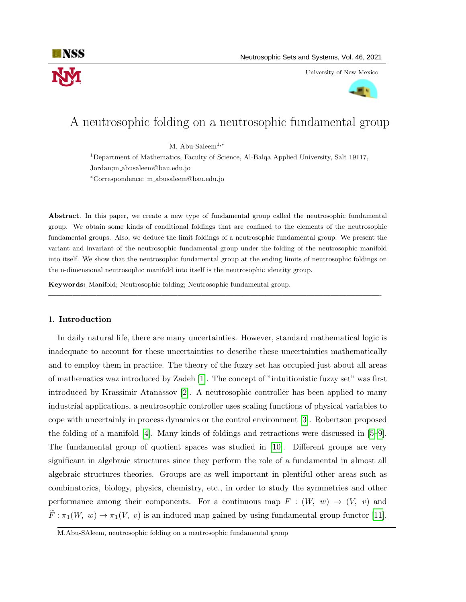

University of New Mexico



# A neutrosophic folding on a neutrosophic fundamental group

M. Abu-Saleem<sup>1,\*</sup>

<sup>1</sup>Department of Mathematics, Faculty of Science, Al-Balqa Applied University, Salt 19117, Jordan;m abusaleem@bau.edu.jo

<sup>∗</sup>Correspondence: m abusaleem@bau.edu.jo

Abstract. In this paper, we create a new type of fundamental group called the neutrosophic fundamental group. We obtain some kinds of conditional foldings that are confined to the elements of the neutrosophic fundamental groups. Also, we deduce the limit foldings of a neutrosophic fundamental group. We present the variant and invariant of the neutrosophic fundamental group under the folding of the neutrosophic manifold into itself. We show that the neutrosophic fundamental group at the ending limits of neutrosophic foldings on the n-dimensional neutrosophic manifold into itself is the neutrosophic identity group.

—————————————————————————————————————————-

Keywords: Manifold; Neutrosophic folding; Neutrosophic fundamental group.

### 1. Introduction

In daily natural life, there are many uncertainties. However, standard mathematical logic is inadequate to account for these uncertainties to describe these uncertainties mathematically and to employ them in practice. The theory of the fuzzy set has occupied just about all areas of mathematics waz introduced by Zadeh [\[1\]](#page-8-0). The concept of "intuitionistic fuzzy set" was first introduced by Krassimir Atanassov [\[2\]](#page-8-1). A neutrosophic controller has been applied to many industrial applications, a neutrosophic controller uses scaling functions of physical variables to cope with uncertainly in process dynamics or the control environment [\[3\]](#page-8-2). Robertson proposed the folding of a manifold [\[4\]](#page-9-0). Many kinds of foldings and retractions were discussed in [\[5–](#page-9-1)[9\]](#page-9-2). The fundamental group of quotient spaces was studied in [\[10\]](#page-9-3). Different groups are very significant in algebraic structures since they perform the role of a fundamental in almost all algebraic structures theories. Groups are as well important in plentiful other areas such as combinatorics, biology, physics, chemistry, etc., in order to study the symmetries and other performance among their components. For a continuous map  $F : (W, w) \to (V, v)$  and  $\widetilde{F}:\pi_1(W, w) \to \pi_1(V, v)$  is an induced map gained by using fundamental group functor [\[11\]](#page-9-4).

M.Abu-SAleem, neutrosophic folding on a neutrosophic fundamental group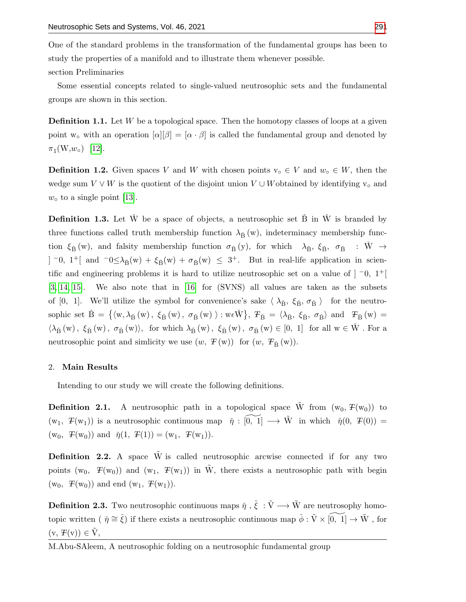One of the standard problems in the transformation of the fundamental groups has been to study the properties of a manifold and to illustrate them whenever possible.

section Preliminaries

Some essential concepts related to single-valued neutrosophic sets and the fundamental groups are shown in this section.

**Definition 1.1.** Let  $W$  be a topological space. Then the homotopy classes of loops at a given point w<sub>o</sub> with an operation  $[\alpha][\beta] = [\alpha \cdot \beta]$  is called the fundamental group and denoted by  $\pi_1(W, w_\circ)$  [\[12\]](#page-9-6).

**Definition 1.2.** Given spaces V and W with chosen points  $v_0 \in V$  and  $w_0 \in W$ , then the wedge sum  $V \vee W$  is the quotient of the disjoint union  $V \cup W$  obtained by identifying  $v_0$  and  $w<sub>o</sub>$  to a single point [\[13\]](#page-9-7).

**Definition 1.3.** Let  $\check{W}$  be a space of objects, a neutrosophic set  $\check{B}$  in  $\check{W}$  is branded by three functions called truth membership function  $\lambda_{\tilde{B}}(w)$ , indeterminacy membership function  $\xi_{\check{B}}(w)$ , and falsity membership function  $\sigma_{\check{B}}(y)$ , for which  $\lambda_{\check{B}}$ ,  $\xi_{\check{B}}$ ,  $\sigma_{\check{B}} \to \check{W} \to$  $]$  <sup>-</sup>0, 1<sup>+</sup>[ and <sup>-</sup>0≤λ<sub>B</sub>´(w) + ξ<sub>B</sub>´(w) + σ<sub>B</sub>´(w) ≤ 3<sup>+</sup>. But in real-life application in scientific and engineering problems it is hard to utilize neutrosophic set on a value of ] <sup>−</sup>0, 1 +[ [\[3,](#page-8-2) [14,](#page-9-8) [15\]](#page-9-9). We also note that in [\[16\]](#page-9-10) for (SVNS) all values are taken as the subsets of [0, 1]. We'll utilize the symbol for convenience's sake  $\langle \lambda_{\tilde{B}} , \xi_{\tilde{B}} , \sigma_{\tilde{B}} \rangle$  for the neutrosophic set  $\check{B} = \{ \langle w, \lambda_{\check{B}}(w), \xi_{\check{B}}(w), \sigma_{\check{B}}(w) \rangle : w \in \check{W} \}, T_{\check{B}} = \langle \lambda_{\check{B}}, \xi_{\check{B}}, \sigma_{\check{B}} \rangle$  and  $T_{\check{B}}(w) =$  $\langle \lambda_{\check{B}}(w), \xi_{\check{B}}(w), \sigma_{\check{B}}(w) \rangle$ , for which  $\lambda_{\check{B}}(w), \xi_{\check{B}}(w), \sigma_{\check{B}}(w) \in [0, 1]$  for all  $w \in \check{W}$ . For a neutrosophic point and simlicity we use  $(w, F(w))$  for  $(w, F_{\breve{\mathsf{B}}}(w))$ .

### 2. Main Results

Intending to our study we will create the following definitions.

**Definition 2.1.** A neutrosophic path in a topological space  $\tilde{W}$  from  $(w_0, F(w_0))$  to  $(w_1, \mathcal{F}(w_1))$  is a neutrosophic continuous map  $\check{\eta}: \widetilde{[0, 1]} \longrightarrow \tilde{W}$  in which  $\check{\eta}(0, \mathcal{F}(0)) =$  $(w_0, \mathcal{F}(w_0))$  and  $\check{\eta}(1, \mathcal{F}(1)) = (w_1, \mathcal{F}(w_1)).$ 

**Definition 2.2.** A space  $\hat{W}$  is called neutrosophic arcwise connected if for any two points (w<sub>0</sub>,  $F(w_0)$ ) and (w<sub>1</sub>,  $F(w_1)$ ) in W, there exists a neutrosophic path with begin  $(w_0, \mathcal{F}(w_0))$  and end  $(w_1, \mathcal{F}(w_1))$ .

**Definition 2.3.** Two neutrosophic continuous maps  $\check{\eta}$ ,  $\check{\xi}$ :  $\tilde{V} \longrightarrow \tilde{W}$  are neutrosophy homotopic written (  $\check{\eta} \cong \check{\xi}$ ) if there exists a neutrosophic continuous map  $\check{\phi} : \tilde{V} \times \widetilde{[0, 1]} \to \tilde{W}$ , for  $(v, F(v)) \in \tilde{V}$ ,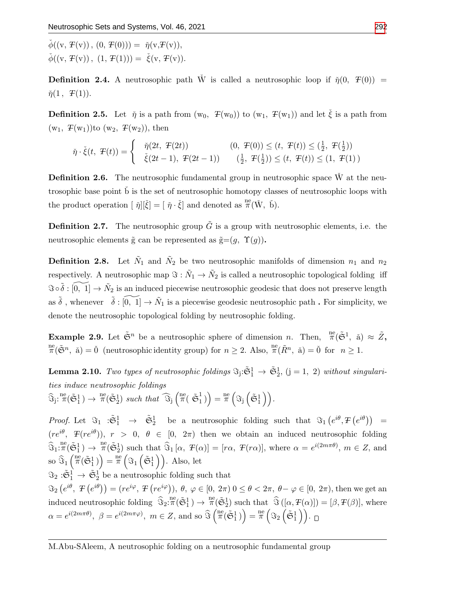$\check{\phi}((v, T(v)), (0, T(0))) = \check{\eta}(v, T(v)),$  $\check{\phi}((v, F(v)), (1, F(1))) = \check{\xi}(v, F(v)).$ 

**Definition 2.4.** A neutrosophic path  $\check{W}$  is called a neutrosophic loop if  $\check{\eta}(0, T(0))$  =  $\check{\eta}(1, T(1)).$ 

**Definition 2.5.** Let  $\check{\eta}$  is a path from  $(w_0, F(w_0))$  to  $(w_1, F(w_1))$  and let  $\check{\xi}$  is a path from  $(w_1, F(w_1))$ to  $(w_2, F(w_2))$ , then

$$
\check{\eta} \cdot \check{\xi}(t, \mathcal{F}(t)) = \begin{cases} \check{\eta}(2t, \mathcal{F}(2t)) & (0, \mathcal{F}(0)) \le (t, \mathcal{F}(t)) \le (\frac{1}{2}, \mathcal{F}(\frac{1}{2})) \\ \check{\xi}(2t-1), \mathcal{F}(2t-1)) & (\frac{1}{2}, \mathcal{F}(\frac{1}{2})) \le (t, \mathcal{F}(t)) \le (1, \mathcal{F}(1)) \end{cases}
$$

**Definition 2.6.** The neutrosophic fundamental group in neutrosophic space  $\check{W}$  at the neutrosophic base point b is the set of neutrosophic homotopy classes of neutrosophic loops with the product operation  $[\tilde{\eta}][\check{\xi}] = [\tilde{\eta} \cdot \check{\xi}]$  and denoted as  $^{\text{ne}}_{\pi}(\check{W}, \check{b})$ .

**Definition 2.7.** The neutrosophic group  $\tilde{G}$  is a group with neutrosophic elements, i.e. the neutrosophic elements  $\tilde{g}$  can be represented as  $\tilde{g}=(g, \Upsilon(g)).$ 

**Definition 2.8.** Let  $\tilde{N}_1$  and  $\tilde{N}_2$  be two neutrosophic manifolds of dimension  $n_1$  and  $n_2$ respectively. A neutrosophic map  $\Im : \tilde{N}_1 \to \tilde{N}_2$  is called a neutrosophic topological folding iff  $\Im \circ \tilde{\delta} : \widetilde{[0, 1]} \to \tilde{N}_2$  is an induced piecewise neutrosophic geodesic that does not preserve length as  $\tilde{\delta}$ , whenever  $\tilde{\delta} : \tilde{[0, 1]} \to \tilde{N}_1$  is a piecewise geodesic neutrosophic path. For simplicity, we denote the neutrosophic topological folding by neutrosophic folding.

**Example 2.9.** Let  $\tilde{\mathfrak{S}}^n$  be a neutrosophic sphere of dimension n. Then,  $\pi(\tilde{\mathfrak{S}}^1, \tilde{\mathfrak{a}}) \approx \tilde{Z}$ ,  $\mathbb{R}^{\text{ne}}(\tilde{\mathfrak{S}}^n, \check{\mathfrak{a}}) = \check{0}$  (neutrosophic identity group) for  $n \geq 2$ . Also,  $\mathbb{R}^{\text{ne}}(\tilde{R}^n, \check{\mathfrak{a}}) = \check{0}$  for  $n \geq 1$ .

**Lemma 2.10.** Two types of neutrosophic foldings  $\Im_j:\tilde{S}_1^1 \to \tilde{S}_2^1$ ,  $(j = 1, 2)$  without singularities induce neutrosophic foldings

 $\widehat{\mathfrak{S}}_{j}: \pi(\tilde{\mathfrak{S}}_1^1) \to \pi^{\mathrm{ne}}(\tilde{\mathfrak{S}}_2^1)$  such that  $\widehat{\mathfrak{S}}_{j}$   $\left(\pi^{\mathrm{ne}} \tilde{\mathfrak{S}}_1^1\right)$  $\begin{pmatrix} 1 \\ 1 \end{pmatrix} = \frac{ne}{\pi} \left( \Im_j \left( \tilde{\mathfrak{S}}_1^1 \right) \right).$ 

*Proof.* Let  $\Im_1 : \tilde{\mathfrak{S}}_1^1 \to \tilde{\mathfrak{S}}_2^1$  be a neutrosophic folding such that  $\Im_1(e^{i\theta}, F(e^{i\theta})) =$  $(re^{i\theta}, T(re^{i\theta}))$ ,  $r > 0$ ,  $\theta \in [0, 2\pi)$  then we obtain an induced neutrosophic folding  $\widehat{\mathfrak{S}}_1: \pi(\widetilde{\mathfrak{S}}_1^1) \to \pi(\widetilde{\mathfrak{S}}_2^1)$  such that  $\widehat{\mathfrak{S}}_1[\alpha, T(\alpha)] = [r\alpha, T(r\alpha)],$  where  $\alpha = e^{i(2m\pi\theta)}, m \in \mathbb{Z}$ , and so  $\widehat{\Im}_1\left( \frac{\mathfrak{m}}{\pi}(\tilde{\mathfrak{S}}_1^1)\right) = \frac{\mathfrak{m}}{\pi} \left( \Im_1\left( \tilde{\mathfrak{S}}_1^1 \right) \right)$ . Also, let

 $\Im_2: \tilde{\mathfrak{S}}_1^1 \to \tilde{\mathfrak{S}}_2^1$  be a neutrosophic folding such that

 $\Im_2\left(e^{i\theta}, T\left(e^{i\theta}\right)\right) = \left(re^{i\varphi}, T\left(re^{i\varphi}\right)\right), \ \theta, \ \varphi \in [0, 2\pi) \ 0 \leq \theta < 2\pi, \ \theta - \varphi \in [0, 2\pi), \text{then we get an}$ induced neutrosophic folding  $\hat{\mathfrak{S}}_2: \pi^{\mathsf{ne}}(\tilde{\mathfrak{S}}_1^1) \to \pi^{\mathsf{ne}}(\tilde{\mathfrak{S}}_2^1)$  such that  $\hat{\mathfrak{S}}([\alpha, \mathcal{F}(\alpha)]) = [\beta, \mathcal{F}(\beta)]$ , where  $\alpha = e^{i(2m\pi\theta)}, \ \beta = e^{i(2m\pi\varphi)}, \ m \in \mathbb{Z}, \text{ and so } \widehat{\Im}\left(\widehat{\pi}(\tilde{\mathfrak{S}}_1^1)\right) = \widehat{\pi}\left(\Im_2\left(\tilde{\mathfrak{S}}_1^1\right)\right).$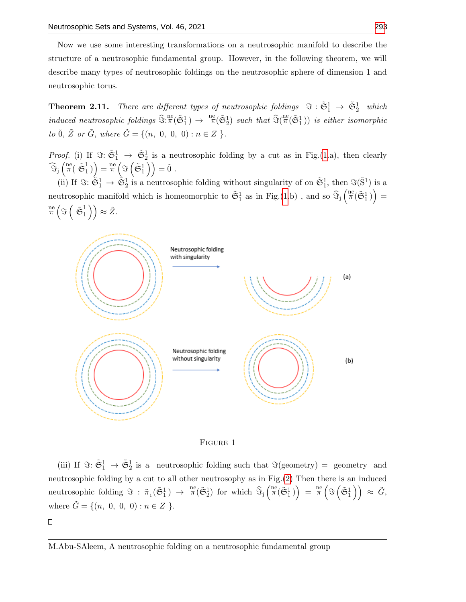Now we use some interesting transformations on a neutrosophic manifold to describe the structure of a neutrosophic fundamental group. However, in the following theorem, we will describe many types of neutrosophic foldings on the neutrosophic sphere of dimension 1 and neutrosophic torus.

<span id="page-3-1"></span>**Theorem 2.11.** There are different types of neutrosophic foldings  $\Im : \tilde{\mathfrak{S}}_1^1 \to \tilde{\mathfrak{S}}_2^1$  which induced neutrosophic foldings  $\widehat{\Im}^{\text{ne}}$   $(\widetilde{\mathfrak{S}}_1^1) \rightarrow \pi^{\text{ne}}$   $(\widetilde{\mathfrak{S}}_2^1)$  such that  $\widehat{\Im}(\pi^{\text{ne}}(\widetilde{\mathfrak{S}}_1^1))$  is either isomorphic to  $0, \tilde{Z}$  or  $\tilde{G}$ , where  $\tilde{G} = \{(n, 0, 0, 0) : n \in Z \}$ .

*Proof.* (i) If  $\Im: \tilde{\mathfrak{S}}_1^1 \to \tilde{\mathfrak{S}}_2^1$  is a neutrosophic folding by a cut as in Fig.[\(1.](#page-3-0)a), then clearly  $\widehat{\Im}_j\left(\begin{smallmatrix}\mathrm{ne}&&\&\pi\end{smallmatrix}\right)$  $\left(\begin{smallmatrix} 1 \ 1 \end{smallmatrix}\right) = \frac{\mathrm{ne}}{\pi} \left( \Im \left( \tilde{\mathfrak{S}}_1^1 \right) \right) = \tilde{0} \;.$ 

(ii) If  $\mathfrak{F} \colon \tilde{\mathfrak{S}}_1^1 \to \tilde{\mathfrak{S}}_2^1$  is a neutrosophic folding without singularity of on  $\tilde{\mathfrak{S}}_1^1$ , then  $\mathfrak{F}(\tilde{\mathbf{S}}^1)$  is a neutrosophic manifold which is homeomorphic to  $\tilde{\mathfrak{S}}_1^1$  as in Fig.[\(1.](#page-3-0)b), and so  $\widehat{\mathfrak{S}}_j\left(\pi^e(\tilde{\mathfrak{S}}_1^1)\right)$  = ne  $\frac{\pi}{\pi} \left( \Im \left( \begin{array}{c} z_1 \end{array} \right)$  $\binom{1}{1}$   $\approx \tilde{Z}$ .

<span id="page-3-0"></span>



(iii) If  $\Im: \tilde{\mathfrak{S}}_1^1 \to \tilde{\mathfrak{S}}_2^1$  is a neutrosophic folding such that  $\Im(\text{geometry}) = \text{geometry}$  and neutrosophic folding by a cut to all other neutrosophy as in Fig.[\(2\)](#page-4-0) Then there is an induced neutrosophic folding  $\Im : \tilde{\pi}_1(\tilde{\mathfrak{S}}_1^1) \to \pi^{\text{ne}}(\tilde{\mathfrak{S}}_2^1)$  for which  $\widehat{\Im}_j\left(\begin{matrix} \text{ne}(\tilde{\mathfrak{S}}_1^1) \end{matrix}\right) = \pi^{\text{ne}}\left(\Im\left(\tilde{\mathfrak{S}}_1^1\right)\right) \approx \tilde{G},$ where  $\tilde{G} = \{(n, 0, 0, 0) : n \in \mathbb{Z} \}.$ 

 $\Box$ 

M.Abu-SAleem, A neutrosophic folding on a neutrosophic fundamental group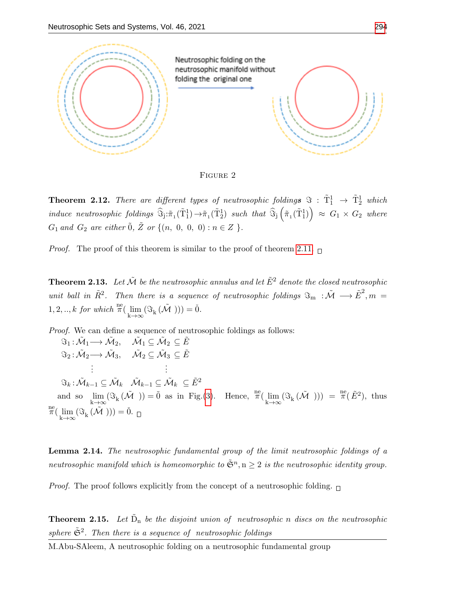<span id="page-4-0"></span>

FIGURE 2

**Theorem 2.12.** There are different types of neutrosophic foldings  $\Im : \tilde{T}_1^1 \rightarrow \tilde{T}_2^1$  which  $induce\ \ neutrosophic\ \,foldings\ \ \widehat{\mathbb{S}}_{\mathbf{j}}:\tilde{\pi}_{1}(\tilde{\mathrm{T}}_{1}^{1})\rightarrow\tilde{\pi}_{1}(\tilde{\mathrm{T}}_{2}^{1})\ \ \textit{such that}\ \ \widehat{\mathbb{S}}_{\mathbf{j}}\left(\tilde{\pi}_{1}(\tilde{\mathrm{T}}_{1}^{1})\right)\ \approx\ G_{1}\ \times\ G_{2}\ \ \textit{where}$  $G_1$  and  $G_2$  are either  $\tilde{0}$ ,  $\tilde{Z}$  or  $\{(n, 0, 0, 0) : n \in Z \}$ .

*Proof.* The proof of this theorem is similar to the proof of theorem [2.11.](#page-3-1)  $\Box$ 

**Theorem 2.13.** Let  $\tilde{\mathcal{M}}$  be the neutrosophic annulus and let  $\tilde{E}^2$  denote the closed neutrosophic unit ball in  $\tilde{R}^2$ . Then there is a sequence of neutrosophic foldings  $\Im_m : \tilde{\mathcal{M}} \longrightarrow \tilde{E}^2, m =$ 1, 2, .., k for which  $\pi(\lim_{k\to\infty} (\Im_k(\tilde{\mathcal{M}}))) = 0.$ 

Proof. We can define a sequence of neutrosophic foldings as follows:

$$
\begin{aligned}\n\mathfrak{S}_1: \tilde{\mathcal{M}}_1 &\longrightarrow \tilde{\mathcal{M}}_2, &\quad \tilde{\mathcal{M}}_1 \subseteq \tilde{\mathcal{M}}_2 \subseteq \tilde{E} \\
\mathfrak{S}_2: \tilde{\mathcal{M}}_2 &\longrightarrow \tilde{\mathcal{M}}_3, &\quad \tilde{\mathcal{M}}_2 \subseteq \tilde{\mathcal{M}}_3 \subseteq \tilde{E} \\
&\vdots &\vdots \\
\mathfrak{S}_k: \tilde{\mathcal{M}}_{k-1} \subseteq \tilde{\mathcal{M}}_k &\quad \tilde{\mathcal{M}}_{k-1} \subseteq \tilde{\mathcal{M}}_k \subseteq \tilde{E}^2 \\
&\quad \text{and so } &\lim_{k \to \infty} (\mathfrak{S}_k (\tilde{\mathcal{M}})) = \tilde{0} \text{ as in Fig. (3). Hence, } \pi(\lim_{k \to \infty} (\mathfrak{S}_k (\tilde{\mathcal{M}}))) = \pi(\tilde{E}^2), \text{ thus} \\
&\stackrel{\text{ne}}{\pi}(\lim_{k \to \infty} (\mathfrak{S}_k (\tilde{\mathcal{M}}))) = \tilde{0}.\n\end{aligned}
$$

Lemma 2.14. The neutrosophic fundamental group of the limit neutrosophic foldings of a neutrosophic manifold which is homeomorphic to  $\tilde{\mathfrak{S}}^n,$   $\mathrm{n}\geq 2$  is the neutrosophic identity group.

*Proof.* The proof follows explicitly from the concept of a neutrosophic folding.  $\Box$ 

**Theorem 2.15.** Let  $\tilde{D}_n$  be the disjoint union of neutrosophic n discs on the neutrosophic sphere  $\tilde{\mathfrak{S}}^2$ . Then there is a sequence of neutrosophic foldings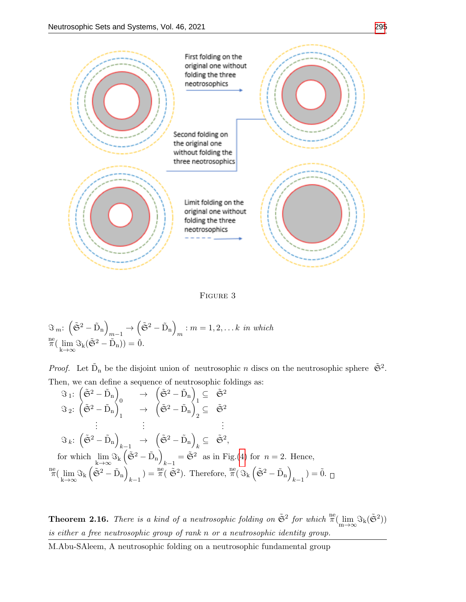<span id="page-5-0"></span>



$$
\mathfrak{F}_{m}: \left(\tilde{\mathfrak{S}}^{2}-\tilde{\mathbf{D}}_{n}\right)_{m-1} \to \left(\tilde{\mathfrak{S}}^{2}-\tilde{\mathbf{D}}_{n}\right)_{m}: m = 1, 2, \dots k \text{ in which}
$$
  

$$
\pi(\lim_{k \to \infty} \mathfrak{F}_{k}(\tilde{\mathfrak{S}}^{2}-\tilde{\mathbf{D}}_{n})) = \check{0}.
$$

*Proof.* Let  $\tilde{D}_n$  be the disjoint union of neutrosophic n discs on the neutrosophic sphere  $\tilde{\mathfrak{S}}^2$ . Then, we can define a sequence of neutrosophic foldings as:

$$
\Im_{1}: \left(\tilde{\mathfrak{S}}^{2} - \tilde{D}_{n}\right)_{0} \rightarrow \left(\tilde{\mathfrak{S}}^{2} - \tilde{D}_{n}\right)_{1} \subseteq \tilde{\mathfrak{S}}^{2}
$$
\n
$$
\Im_{2}: \left(\tilde{\mathfrak{S}}^{2} - \tilde{D}_{n}\right)_{1} \rightarrow \left(\tilde{\mathfrak{S}}^{2} - \tilde{D}_{n}\right)_{2} \subseteq \tilde{\mathfrak{S}}^{2}
$$
\n
$$
\vdots \qquad \vdots \qquad \vdots
$$
\n
$$
\Im_{k}: \left(\tilde{\mathfrak{S}}^{2} - \tilde{D}_{n}\right)_{k-1} \rightarrow \left(\tilde{\mathfrak{S}}^{2} - \tilde{D}_{n}\right)_{k} \subseteq \tilde{\mathfrak{S}}^{2},
$$
\nfor which  $\lim_{k \to \infty} \Im_{k} \left(\tilde{\mathfrak{S}}^{2} - \tilde{D}_{n}\right)_{k-1} = \tilde{\mathfrak{S}}^{2}$  as in Fig.(4) for  $n = 2$ . Hence,  
\n $\frac{\text{ne}}{\pi} \left(\lim_{k \to \infty} \Im_{k} \left(\tilde{\mathfrak{S}}^{2} - \tilde{D}_{n}\right)_{k-1}\right) = \frac{\text{ne}}{\pi} \left(\tilde{\mathfrak{S}}^{2}\right)$ . Therefore,  $\frac{\text{ne}}{\pi} \left(\Im_{k} \left(\tilde{\mathfrak{S}}^{2} - \tilde{D}_{n}\right)_{k-1}\right) = \tilde{0}$ .  $\Box$ 

**Theorem 2.16.** There is a kind of a neutrosophic folding on  $\tilde{\mathfrak{S}}^2$  for which  $\frac{\text{ne}}{\pi}(\lim_{m\to\infty} \Im_k(\tilde{\mathfrak{S}}^2))$ is either a free neutrosophic group of rank n or a neutrosophic identity group.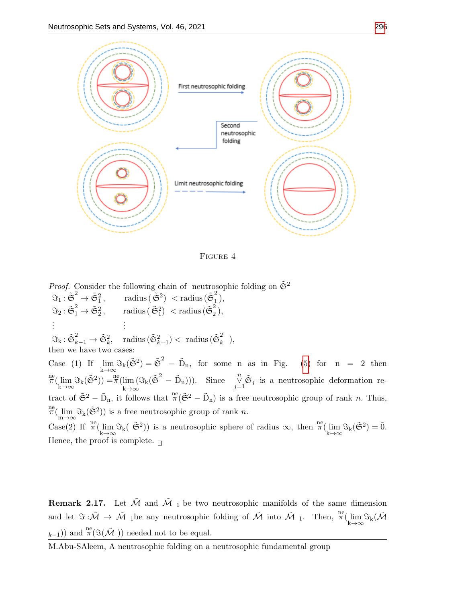<span id="page-6-0"></span>

Figure 4

*Proof.* Consider the following chain of neutrosophic folding on  $\tilde{\mathfrak{S}}^2$  $\Im_1: \tilde{\mathfrak{S}}^2 \to \tilde{\mathfrak{S}}^2_1, \qquad \text{radius} \, (\tilde{\mathfrak{S}}^2) \; < \text{radius} \, (\tilde{\mathfrak{S}}^2_1)$  $\frac{2}{1}$ ,  $\Im_2\colon \tilde{\mathfrak{S}}_1^2 \to \tilde{\mathfrak{S}}_2^2\,, \qquad \text{radius}\, (\,\tilde{\mathfrak{S}}_1^2) \; < \text{radius}\, (\tilde{\mathfrak{S}}_2^2)$  $\frac{2}{2}$ ), . . . . . .  $\Im_{\mathrm{k}}: \tilde{\mathfrak{S}}_{k-1}^2 \rightarrow \tilde{\mathfrak{S}}_k^2, \quad \text{radius} \, (\tilde{\mathfrak{S}}_{k-1}^2) < \text{ radius} \, (\tilde{\mathfrak{S}}_k^2)$  $\frac{z}{k}$ ), then we have two cases: Case (1) If  $\lim_{k \to \infty} \Im_k(\tilde{\mathfrak{S}}^2) = \tilde{\mathfrak{S}}^2 - \tilde{D}_n$ , for some n as in Fig. [\(5\)](#page-7-0) for n = 2 then  $\pi(\lim_{k\to\infty} \Im_k(\tilde{\mathfrak{S}}^2)) = \pi(\lim_{k\to\infty}$ k→∞  $\Im_k(\tilde{\mathfrak{S}}^2 - \tilde{D}_n))$ . Since  $\bigvee_{j=1}^n \tilde{\mathfrak{S}}_j$  is a neutrosophic deformation retract of  $\tilde{\mathfrak{S}}^2 - \tilde{D}_n$ , it follows that  $\pi(\tilde{\mathfrak{S}}^2 - \tilde{D}_n)$  is a free neutrosophic group of rank *n*. Thus,  $\pi^{\text{ne}}(\lim_{m\to\infty} \Im_k(\tilde{\mathfrak{S}}^2))$  is a free neutrosophic group of rank n. Case(2) If  $\pi(\lim_{k\to\infty} \Im_k(\tilde{\mathfrak{S}}^2))$  is a neutrosophic sphere of radius  $\infty$ , then  $\pi(\lim_{k\to\infty} \Im_k(\tilde{\mathfrak{S}}^2)) = 0$ . Hence, the proof is complete.  $\Box$ 

**Remark 2.17.** Let  $\tilde{\mathcal{M}}$  and  $\tilde{\mathcal{M}}_1$  be two neutrosophic manifolds of the same dimension and let  $\Im: \tilde{\mathcal{M}} \to \tilde{\mathcal{M}}$  1be any neutrosophic folding of  $\tilde{\mathcal{M}}$  into  $\tilde{\mathcal{M}}$  1. Then,  $\pi^{\text{ne}}(\lim_{k \to \infty} \Im_k(\tilde{\mathcal{M}}))$  $_{k-1}))$  and  $_{\pi}^{\text{ne}}(\Im(\tilde{\mathcal{M}}))$  needed not to be equal.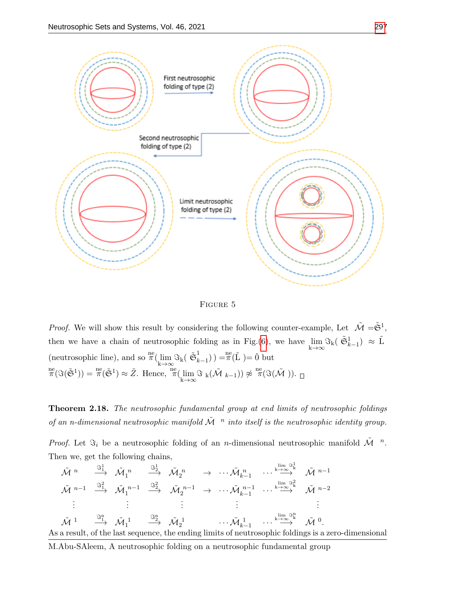<span id="page-7-0"></span>

Figure 5

*Proof.* We will show this result by considering the following counter-example, Let  $\tilde{\mathcal{M}} = \tilde{\mathfrak{S}}^1$ , then we have a chain of neutrosophic folding as in Fig.[\(6\)](#page-8-3), we have  $\lim_{k\to\infty} S_k(\tilde{\mathfrak{S}}_{k-1}^1) \approx \tilde{L}$ (neutrosophic line), and so  $_{k \to \infty}^{\text{ne}}$  ( $\lim_{k \to \infty}$   $\Im_k$ )  $\tilde{\mathfrak{S}}_k$  $\binom{1}{k-1}$  =  $\pi(\tilde{\mathbf{L}})$  =  $\check{\mathbf{0}}$  but  $_{\pi}^{\text{ne}}(\Im(\tilde{\mathfrak{S}}^1)) = \frac{\text{ne}}{\pi}(\tilde{\mathfrak{S}}^1) \approx \tilde{Z}$ . Hence,  $_{\pi}^{\text{ne}}(\lim_{k \to \infty} \Im_k(\tilde{\mathcal{M}}_{k-1})) \not\approx \frac{\text{ne}}{\pi}(\Im(\tilde{\mathcal{M}})).$ 

Theorem 2.18. The neutrosophic fundamental group at end limits of neutrosophic foldings of an n-dimensional neutrosophic manifold  $\tilde{\cal M}^{-n}$  into itself is the neutrosophic identity group.

*Proof.* Let  $\Im_i$  be a neutrosophic folding of an *n*-dimensional neutrosophic manifold  $\tilde{M}^n$ . Then we, get the following chains,

$$
\tilde{\mathcal{M}}^{n} \xrightarrow{\mathfrak{I}_{1}^{1}} \tilde{\mathcal{M}}_{1}^{n} \xrightarrow{\mathfrak{I}_{2}^{1}} \tilde{\mathcal{M}}_{2}^{n} \rightarrow \cdots \tilde{\mathcal{M}}_{k-1}^{n} \cdots \stackrel{\lim_{k \to \infty} \mathfrak{I}_{k}^{1}}{\longrightarrow} \tilde{\mathcal{M}}^{n-1}
$$
\n
$$
\tilde{\mathcal{M}}^{n-1} \xrightarrow{\mathfrak{I}_{1}^{2}} \tilde{\mathcal{M}}_{1}^{n-1} \xrightarrow{\mathfrak{I}_{2}^{2}} \tilde{\mathcal{M}}_{2}^{n-1} \rightarrow \cdots \tilde{\mathcal{M}}_{k-1}^{n-1} \cdots \stackrel{\lim_{k \to \infty} \mathfrak{I}_{k}^{2}}{\longrightarrow} \tilde{\mathcal{M}}^{n-2}
$$
\n
$$
\vdots \qquad \vdots \qquad \vdots \qquad \vdots
$$
\n
$$
\tilde{\mathcal{M}}^{1} \xrightarrow{\mathfrak{I}_{1}^{1}} \tilde{\mathcal{M}}_{1}^{1} \xrightarrow{\mathfrak{I}_{2}^{1}} \tilde{\mathcal{M}}_{2}^{1} \cdots \tilde{\mathcal{M}}_{k-1}^{1} \cdots \stackrel{\lim_{k \to \infty} \mathfrak{I}_{k}^{n}}{\longrightarrow} \tilde{\mathcal{M}}^{0}.
$$
\nAs a result, of the last sequence, the ending limits of neutrosophic foldings is a zero-dimensional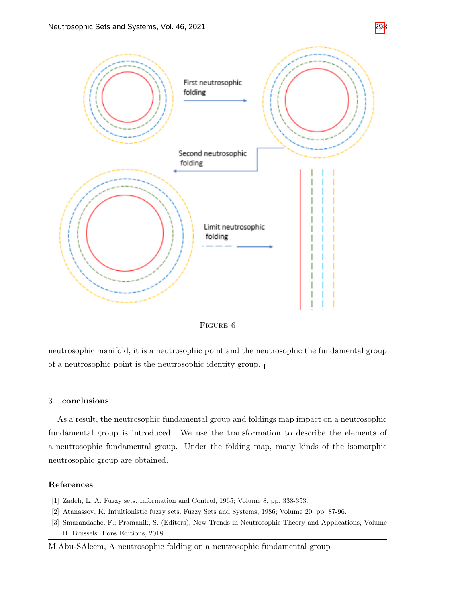<span id="page-8-3"></span>



neutrosophic manifold, it is a neutrosophic point and the neutrosophic the fundamental group of a neutrosophic point is the neutrosophic identity group.  $\Box$ 

## 3. conclusions

As a result, the neutrosophic fundamental group and foldings map impact on a neutrosophic fundamental group is introduced. We use the transformation to describe the elements of a neutrosophic fundamental group. Under the folding map, many kinds of the isomorphic neutrosophic group are obtained.

## References

- <span id="page-8-0"></span>[1] Zadeh, L. A. Fuzzy sets. Information and Control, 1965; Volume 8, pp. 338-353.
- <span id="page-8-1"></span>[2] Atanassov, K. Intuitionistic fuzzy sets. Fuzzy Sets and Systems, 1986; Volume 20, pp. 87-96.
- <span id="page-8-2"></span>[3] Smarandache, F.; Pramanik, S. (Editors), New Trends in Neutrosophic Theory and Applications, Volume II. Brussels: Pons Editions, 2018.